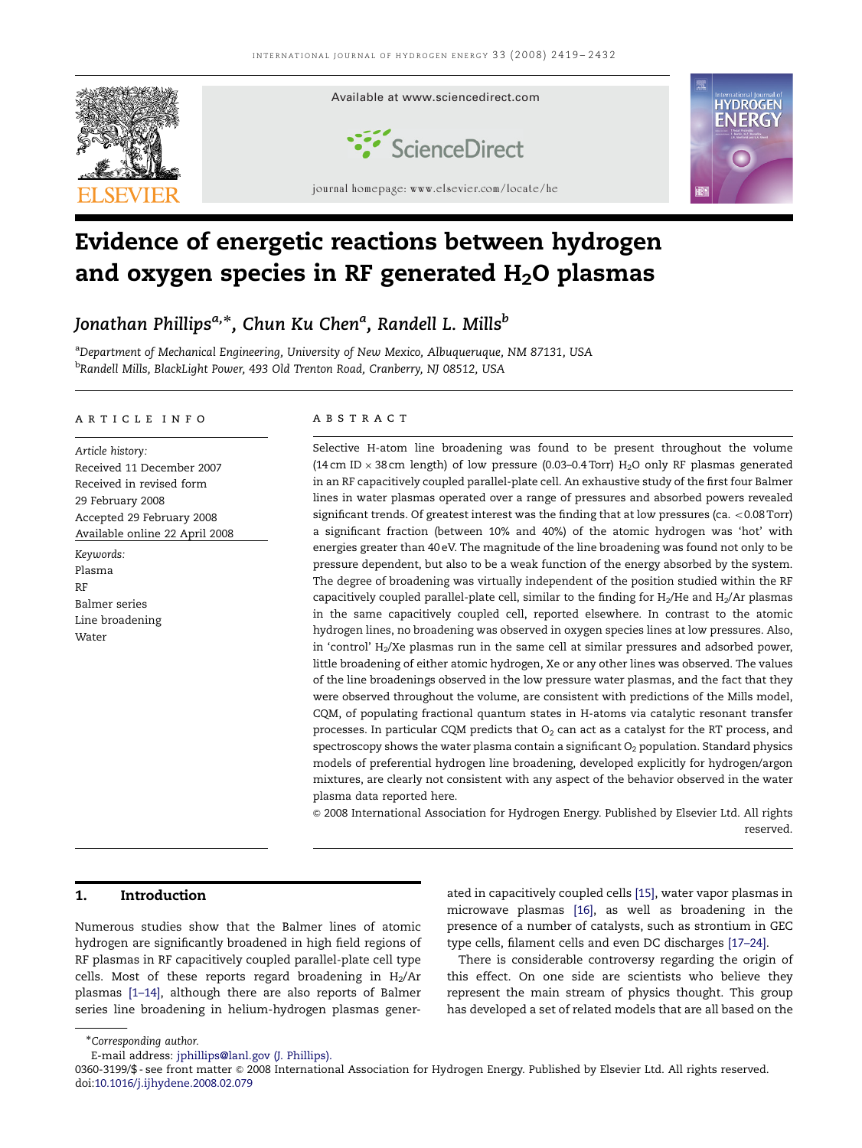

# Evidence of energetic reactions between hydrogen and oxygen species in RF generated  $H_2O$  plasmas

Jonathan Phillips<sup>a,\*</sup>, Chun Ku Chen<sup>a</sup>, Randell L. Mills<sup>b</sup>

<sup>a</sup>Department of Mechanical Engineering, University of New Mexico, Albuqueruque, NM 87131, USA <sup>b</sup>Randell Mills, BlackLight Power, 493 Old Trenton Road, Cranberry, NJ 08512, USA

### article info

Article history: Received 11 December 2007 Received in revised form 29 February 2008 Accepted 29 February 2008 Available online 22 April 2008 Keywords: Plasma RF Balmer series Line broadening Water

#### A B S T R A C T

Selective H-atom line broadening was found to be present throughout the volume (14 cm ID  $\times$  38 cm length) of low pressure (0.03–0.4 Torr) H<sub>2</sub>O only RF plasmas generated in an RF capacitively coupled parallel-plate cell. An exhaustive study of the first four Balmer lines in water plasmas operated over a range of pressures and absorbed powers revealed significant trends. Of greatest interest was the finding that at low pressures (ca.  $<$  0.08 Torr) a significant fraction (between 10% and 40%) of the atomic hydrogen was 'hot' with energies greater than 40 eV. The magnitude of the line broadening was found not only to be pressure dependent, but also to be a weak function of the energy absorbed by the system. The degree of broadening was virtually independent of the position studied within the RF capacitively coupled parallel-plate cell, similar to the finding for  $H_2/He$  and  $H_2/Ar$  plasmas in the same capacitively coupled cell, reported elsewhere. In contrast to the atomic hydrogen lines, no broadening was observed in oxygen species lines at low pressures. Also, in 'control'  $H<sub>2</sub>/Xe$  plasmas run in the same cell at similar pressures and adsorbed power, little broadening of either atomic hydrogen, Xe or any other lines was observed. The values of the line broadenings observed in the low pressure water plasmas, and the fact that they were observed throughout the volume, are consistent with predictions of the Mills model, CQM, of populating fractional quantum states in H-atoms via catalytic resonant transfer processes. In particular CQM predicts that  $O<sub>2</sub>$  can act as a catalyst for the RT process, and spectroscopy shows the water plasma contain a significant  $O<sub>2</sub>$  population. Standard physics models of preferential hydrogen line broadening, developed explicitly for hydrogen/argon mixtures, are clearly not consistent with any aspect of the behavior observed in the water plasma data reported here.

 $\circ$  2008 International Association for Hydrogen Energy. Published by Elsevier Ltd. All rights reserved.

# 1. Introduction

Numerous studies show that the Balmer lines of atomic hydrogen are significantly broadened in high field regions of RF plasmas in RF capacitively coupled parallel-plate cell type cells. Most of these reports regard broadening in  $H_2/Ar$ plasmas [\[1–14\],](#page-13-0) although there are also reports of Balmer series line broadening in helium-hydrogen plasmas generated in capacitively coupled cells [\[15\],](#page-13-0) water vapor plasmas in microwave plasmas [\[16\]](#page-13-0), as well as broadening in the presence of a number of catalysts, such as strontium in GEC type cells, filament cells and even DC discharges [\[17–24\].](#page-13-0)

There is considerable controversy regarding the origin of this effect. On one side are scientists who believe they represent the main stream of physics thought. This group has developed a set of related models that are all based on the

<sup>-</sup>Corresponding author.

E-mail address: [jphillips@lanl.gov \(J. Phillips\).](mailto:jphillips@lanl.gov)

<sup>0360-3199/\$ -</sup> see front matter @ 2008 International Association for Hydrogen Energy. Published by Elsevier Ltd. All rights reserved. doi[:10.1016/j.ijhydene.2008.02.079](dx.doi.org/10.1016/j.ijhydene.2008.02.079)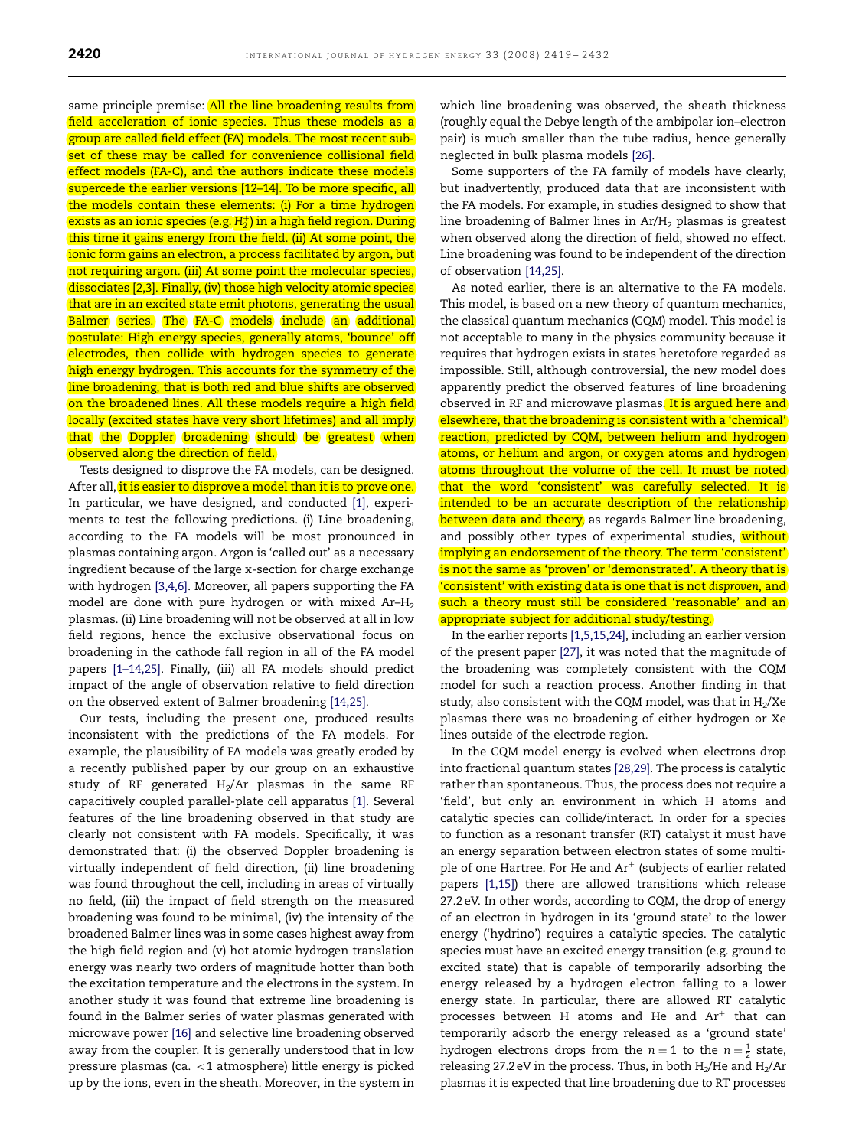same principle premise: All the line broadening results from field acceleration of ionic species. Thus these models as a group are called field effect (FA) models. The most recent subset of these may be called for convenience collisional field effect models (FA-C), and the authors indicate these models supercede the earlier versions [\[12–14\].](#page-13-0) To be more specific, all the models contain these elements: (i) For a time hydrogen exists as an ionic species (e.g.  $\rm H_2^+$ ) in a high field region. During this time it gains energy from the field. (ii) At some point, the ionic form gains an electron, a process facilitated by argon, but not requiring argon. (iii) At some point the molecular species, dissociates [\[2,3\]](#page-13-0). Finally, (iv) those high velocity atomic species that are in an excited state emit photons, generating the usual Balmer series. The FA-C models include an additional postulate: High energy species, generally atoms, 'bounce' off electrodes, then collide with hydrogen species to generate high energy hydrogen. This accounts for the symmetry of the line broadening, that is both red and blue shifts are observed on the broadened lines. All these models require a high field locally (excited states have very short lifetimes) and all imply that the Doppler broadening should be greatest when observed along the direction of field.

Tests designed to disprove the FA models, can be designed. After all, it is easier to disprove a model than it is to prove one. In particular, we have designed, and conducted [\[1\],](#page-13-0) experiments to test the following predictions. (i) Line broadening, according to the FA models will be most pronounced in plasmas containing argon. Argon is 'called out' as a necessary ingredient because of the large x-section for charge exchange with hydrogen [\[3,4,6\].](#page-13-0) Moreover, all papers supporting the FA model are done with pure hydrogen or with mixed Ar–H2 plasmas. (ii) Line broadening will not be observed at all in low field regions, hence the exclusive observational focus on broadening in the cathode fall region in all of the FA model papers [\[1–14,25\]](#page-13-0). Finally, (iii) all FA models should predict impact of the angle of observation relative to field direction on the observed extent of Balmer broadening [\[14,25\].](#page-13-0)

Our tests, including the present one, produced results inconsistent with the predictions of the FA models. For example, the plausibility of FA models was greatly eroded by a recently published paper by our group on an exhaustive study of RF generated  $H_2/Ar$  plasmas in the same RF capacitively coupled parallel-plate cell apparatus [\[1\].](#page-13-0) Several features of the line broadening observed in that study are clearly not consistent with FA models. Specifically, it was demonstrated that: (i) the observed Doppler broadening is virtually independent of field direction, (ii) line broadening was found throughout the cell, including in areas of virtually no field, (iii) the impact of field strength on the measured broadening was found to be minimal, (iv) the intensity of the broadened Balmer lines was in some cases highest away from the high field region and (v) hot atomic hydrogen translation energy was nearly two orders of magnitude hotter than both the excitation temperature and the electrons in the system. In another study it was found that extreme line broadening is found in the Balmer series of water plasmas generated with microwave power [\[16\]](#page-13-0) and selective line broadening observed away from the coupler. It is generally understood that in low pressure plasmas (ca.  $<$ 1 atmosphere) little energy is picked up by the ions, even in the sheath. Moreover, in the system in which line broadening was observed, the sheath thickness (roughly equal the Debye length of the ambipolar ion–electron pair) is much smaller than the tube radius, hence generally neglected in bulk plasma models [\[26\].](#page-13-0)

Some supporters of the FA family of models have clearly, but inadvertently, produced data that are inconsistent with the FA models. For example, in studies designed to show that line broadening of Balmer lines in Ar/H2 plasmas is greatest when observed along the direction of field, showed no effect. Line broadening was found to be independent of the direction of observation [\[14,25\].](#page-13-0)

As noted earlier, there is an alternative to the FA models. This model, is based on a new theory of quantum mechanics, the classical quantum mechanics (CQM) model. This model is not acceptable to many in the physics community because it requires that hydrogen exists in states heretofore regarded as impossible. Still, although controversial, the new model does apparently predict the observed features of line broadening observed in RF and microwave plasmas. It is argued here and elsewhere, that the broadening is consistent with a 'chemical' reaction, predicted by CQM, between helium and hydrogen atoms, or helium and argon, or oxygen atoms and hydrogen atoms throughout the volume of the cell. It must be noted that the word 'consistent' was carefully selected. It is intended to be an accurate description of the relationship between data and theory, as regards Balmer line broadening, and possibly other types of experimental studies, without implying an endorsement of the theory. The term 'consistent' is not the same as 'proven' or 'demonstrated'. A theory that is 'consistent' with existing data is one that is not disproven, and such a theory must still be considered 'reasonable' and an appropriate subject for additional study/testing.

In the earlier reports [\[1,5,15,24\]](#page-13-0), including an earlier version of the present paper [\[27\],](#page-13-0) it was noted that the magnitude of the broadening was completely consistent with the CQM model for such a reaction process. Another finding in that study, also consistent with the CQM model, was that in  $H_2/Xe$ plasmas there was no broadening of either hydrogen or Xe lines outside of the electrode region.

In the CQM model energy is evolved when electrons drop into fractional quantum states [\[28,29\]](#page-13-0). The process is catalytic rather than spontaneous. Thus, the process does not require a 'field', but only an environment in which H atoms and catalytic species can collide/interact. In order for a species to function as a resonant transfer (RT) catalyst it must have an energy separation between electron states of some multiple of one Hartree. For He and  $Ar^+$  (subjects of earlier related papers [\[1,15\]\)](#page-13-0) there are allowed transitions which release 27.2 eV. In other words, according to CQM, the drop of energy of an electron in hydrogen in its 'ground state' to the lower energy ('hydrino') requires a catalytic species. The catalytic species must have an excited energy transition (e.g. ground to excited state) that is capable of temporarily adsorbing the energy released by a hydrogen electron falling to a lower energy state. In particular, there are allowed RT catalytic processes between H atoms and He and  $Ar^+$  that can temporarily adsorb the energy released as a 'ground state' hydrogen electrons drops from the  $n = 1$  to the  $n = \frac{1}{2}$  state, releasing 27.2 eV in the process. Thus, in both  $H_2/He$  and  $H_2/Ar$ plasmas it is expected that line broadening due to RT processes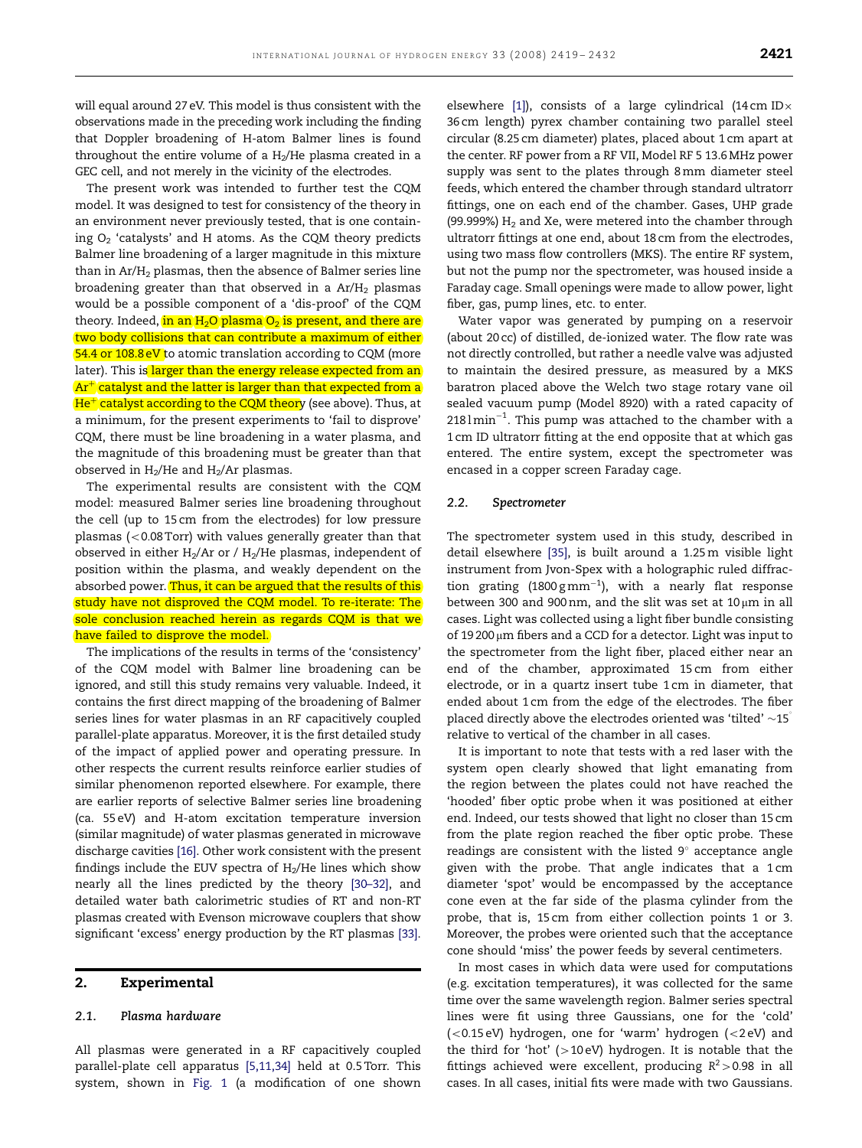will equal around 27 eV. This model is thus consistent with the observations made in the preceding work including the finding that Doppler broadening of H-atom Balmer lines is found throughout the entire volume of a  $H_2/He$  plasma created in a GEC cell, and not merely in the vicinity of the electrodes.

The present work was intended to further test the CQM model. It was designed to test for consistency of the theory in an environment never previously tested, that is one containing  $O<sub>2</sub>$  'catalysts' and H atoms. As the CQM theory predicts Balmer line broadening of a larger magnitude in this mixture than in  $Ar/H<sub>2</sub>$  plasmas, then the absence of Balmer series line broadening greater than that observed in a  $Ar/H<sub>2</sub>$  plasmas would be a possible component of a 'dis-proof' of the CQM theory. Indeed, in an  $H_2O$  plasma  $O_2$  is present, and there are two body collisions that can contribute a maximum of either 54.4 or 108.8 eV to atomic translation according to CQM (more later). This is larger than the energy release expected from an  $Ar<sup>+</sup>$  catalyst and the latter is larger than that expected from a  $He<sup>+</sup>$  catalyst according to the CQM theory (see above). Thus, at a minimum, for the present experiments to 'fail to disprove' CQM, there must be line broadening in a water plasma, and the magnitude of this broadening must be greater than that observed in  $H_2/He$  and  $H_2/Ar$  plasmas.

The experimental results are consistent with the CQM model: measured Balmer series line broadening throughout the cell (up to 15 cm from the electrodes) for low pressure plasmas  $\left($  < 0.08 Torr) with values generally greater than that observed in either  $H_2/Ar$  or /  $H_2/He$  plasmas, independent of position within the plasma, and weakly dependent on the absorbed power. Thus, it can be argued that the results of this study have not disproved the CQM model. To re-iterate: The sole conclusion reached herein as regards CQM is that we have failed to disprove the model.

The implications of the results in terms of the 'consistency' of the CQM model with Balmer line broadening can be ignored, and still this study remains very valuable. Indeed, it contains the first direct mapping of the broadening of Balmer series lines for water plasmas in an RF capacitively coupled parallel-plate apparatus. Moreover, it is the first detailed study of the impact of applied power and operating pressure. In other respects the current results reinforce earlier studies of similar phenomenon reported elsewhere. For example, there are earlier reports of selective Balmer series line broadening (ca. 55 eV) and H-atom excitation temperature inversion (similar magnitude) of water plasmas generated in microwave discharge cavities [\[16\].](#page-13-0) Other work consistent with the present findings include the EUV spectra of  $H_2/He$  lines which show nearly all the lines predicted by the theory [\[30–32\],](#page-13-0) and detailed water bath calorimetric studies of RT and non-RT plasmas created with Evenson microwave couplers that show significant 'excess' energy production by the RT plasmas [\[33\].](#page-13-0)

### 2. Experimental

#### 2.1. Plasma hardware

All plasmas were generated in a RF capacitively coupled parallel-plate cell apparatus [\[5,11,34\]](#page-13-0) held at 0.5 Torr. This system, shown in [Fig. 1](#page-3-0) (a modification of one shown

elsewhere [\[1\]](#page-13-0)), consists of a large cylindrical (14 cm ID $\times$ 36 cm length) pyrex chamber containing two parallel steel circular (8.25 cm diameter) plates, placed about 1 cm apart at the center. RF power from a RF VII, Model RF 5 13.6 MHz power supply was sent to the plates through 8 mm diameter steel feeds, which entered the chamber through standard ultratorr fittings, one on each end of the chamber. Gases, UHP grade (99.999%)  $H_2$  and Xe, were metered into the chamber through ultratorr fittings at one end, about 18 cm from the electrodes, using two mass flow controllers (MKS). The entire RF system, but not the pump nor the spectrometer, was housed inside a Faraday cage. Small openings were made to allow power, light fiber, gas, pump lines, etc. to enter.

Water vapor was generated by pumping on a reservoir (about 20 cc) of distilled, de-ionized water. The flow rate was not directly controlled, but rather a needle valve was adjusted to maintain the desired pressure, as measured by a MKS baratron placed above the Welch two stage rotary vane oil sealed vacuum pump (Model 8920) with a rated capacity of  $218$ l $\rm{min}^{-1}$ . This pump was attached to the chamber with a 1 cm ID ultratorr fitting at the end opposite that at which gas entered. The entire system, except the spectrometer was encased in a copper screen Faraday cage.

#### 2.2. Spectrometer

The spectrometer system used in this study, described in detail elsewhere [\[35\]](#page-13-0), is built around a 1.25 m visible light instrument from Jvon-Spex with a holographic ruled diffraction grating (1800 g mm<sup>-1</sup>), with a nearly flat response between 300 and 900 nm, and the slit was set at  $10 \mu m$  in all cases. Light was collected using a light fiber bundle consisting of 19 200  $\mu$ m fibers and a CCD for a detector. Light was input to the spectrometer from the light fiber, placed either near an end of the chamber, approximated 15 cm from either electrode, or in a quartz insert tube 1 cm in diameter, that ended about 1 cm from the edge of the electrodes. The fiber placed directly above the electrodes oriented was 'tilted'  $\sim$ 15<sup>1</sup> relative to vertical of the chamber in all cases.

It is important to note that tests with a red laser with the system open clearly showed that light emanating from the region between the plates could not have reached the 'hooded' fiber optic probe when it was positioned at either end. Indeed, our tests showed that light no closer than 15 cm from the plate region reached the fiber optic probe. These readings are consistent with the listed  $9^{\circ}$  acceptance angle given with the probe. That angle indicates that a 1 cm diameter 'spot' would be encompassed by the acceptance cone even at the far side of the plasma cylinder from the probe, that is, 15 cm from either collection points 1 or 3. Moreover, the probes were oriented such that the acceptance cone should 'miss' the power feeds by several centimeters.

In most cases in which data were used for computations (e.g. excitation temperatures), it was collected for the same time over the same wavelength region. Balmer series spectral lines were fit using three Gaussians, one for the 'cold'  $(<0.15 eV$ ) hydrogen, one for 'warm' hydrogen  $(<2 eV)$  and the third for 'hot' ( $>$ 10 eV) hydrogen. It is notable that the fittings achieved were excellent, producing  $R^2 > 0.98$  in all cases. In all cases, initial fits were made with two Gaussians.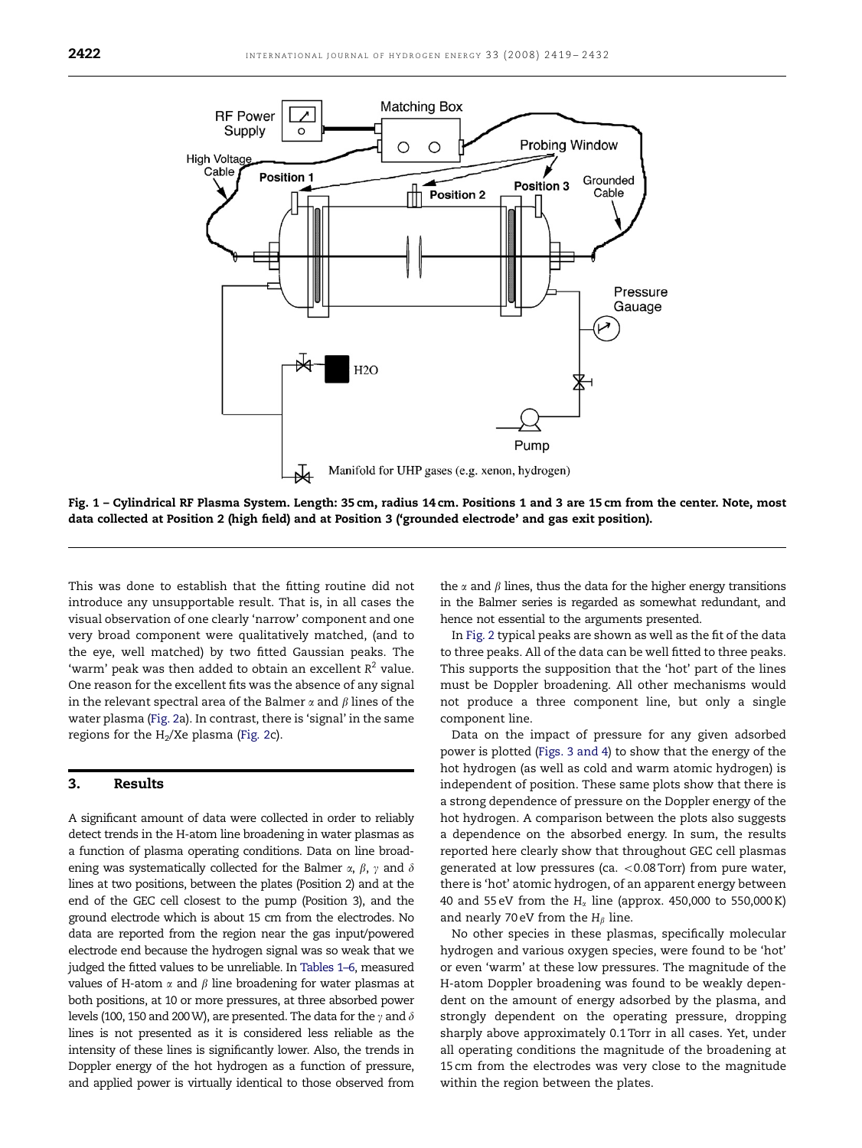<span id="page-3-0"></span>

Fig. 1 – Cylindrical RF Plasma System. Length: 35 cm, radius 14 cm. Positions 1 and 3 are 15 cm from the center. Note, most data collected at Position 2 (high field) and at Position 3 ('grounded electrode' and gas exit position).

This was done to establish that the fitting routine did not introduce any unsupportable result. That is, in all cases the visual observation of one clearly 'narrow' component and one very broad component were qualitatively matched, (and to the eye, well matched) by two fitted Gaussian peaks. The 'warm' peak was then added to obtain an excellent  $R^2$  value. One reason for the excellent fits was the absence of any signal in the relevant spectral area of the Balmer  $\alpha$  and  $\beta$  lines of the water plasma [\(Fig. 2a](#page-7-0)). In contrast, there is 'signal' in the same regions for the  $H_2/Xe$  plasma [\(Fig. 2c](#page-7-0)).

### 3. Results

A significant amount of data were collected in order to reliably detect trends in the H-atom line broadening in water plasmas as a function of plasma operating conditions. Data on line broadening was systematically collected for the Balmer  $\alpha$ ,  $\beta$ ,  $\gamma$  and  $\delta$ lines at two positions, between the plates (Position 2) and at the end of the GEC cell closest to the pump (Position 3), and the ground electrode which is about 15 cm from the electrodes. No data are reported from the region near the gas input/powered electrode end because the hydrogen signal was so weak that we judged the fitted values to be unreliable. In [Tables 1–6](#page-4-0), measured values of H-atom  $\alpha$  and  $\beta$  line broadening for water plasmas at both positions, at 10 or more pressures, at three absorbed power levels (100, 150 and 200 W), are presented. The data for the  $\gamma$  and  $\delta$ lines is not presented as it is considered less reliable as the intensity of these lines is significantly lower. Also, the trends in Doppler energy of the hot hydrogen as a function of pressure, and applied power is virtually identical to those observed from

the  $\alpha$  and  $\beta$  lines, thus the data for the higher energy transitions in the Balmer series is regarded as somewhat redundant, and hence not essential to the arguments presented.

In [Fig. 2](#page-7-0) typical peaks are shown as well as the fit of the data to three peaks. All of the data can be well fitted to three peaks. This supports the supposition that the 'hot' part of the lines must be Doppler broadening. All other mechanisms would not produce a three component line, but only a single component line.

Data on the impact of pressure for any given adsorbed power is plotted [\(Figs. 3 and 4](#page-8-0)) to show that the energy of the hot hydrogen (as well as cold and warm atomic hydrogen) is independent of position. These same plots show that there is a strong dependence of pressure on the Doppler energy of the hot hydrogen. A comparison between the plots also suggests a dependence on the absorbed energy. In sum, the results reported here clearly show that throughout GEC cell plasmas generated at low pressures (ca.  $<$  0.08 Torr) from pure water, there is 'hot' atomic hydrogen, of an apparent energy between 40 and 55 eV from the  $H_\alpha$  line (approx. 450,000 to 550,000 K) and nearly 70 eV from the  $H_\beta$  line.

No other species in these plasmas, specifically molecular hydrogen and various oxygen species, were found to be 'hot' or even 'warm' at these low pressures. The magnitude of the H-atom Doppler broadening was found to be weakly dependent on the amount of energy adsorbed by the plasma, and strongly dependent on the operating pressure, dropping sharply above approximately 0.1 Torr in all cases. Yet, under all operating conditions the magnitude of the broadening at 15 cm from the electrodes was very close to the magnitude within the region between the plates.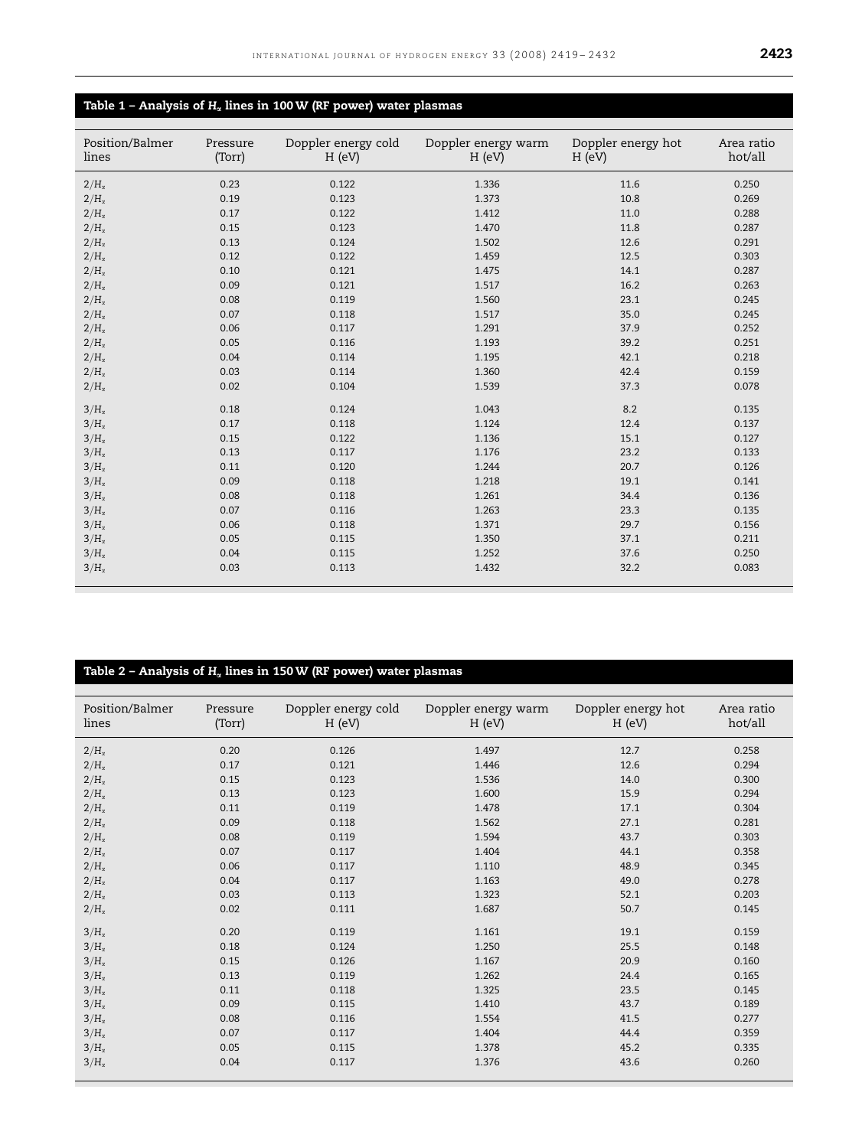# <span id="page-4-0"></span>Table 1 – Analysis of  $H_\alpha$  lines in 100 W (RF power) water plasmas

| Position/Balmer<br>lines | Pressure<br>(Torr) | Doppler energy cold<br>H (eV) | Doppler energy warm<br>H (eV) | Doppler energy hot<br>H (eV) | Area ratio<br>hot/all |
|--------------------------|--------------------|-------------------------------|-------------------------------|------------------------------|-----------------------|
| $2/H_{\alpha}$           | 0.23               | 0.122                         | 1.336                         | 11.6                         | 0.250                 |
| $2/H_{\alpha}$           | 0.19               | 0.123                         | 1.373                         | 10.8                         | 0.269                 |
| $2/H_{\alpha}$           | 0.17               | 0.122                         | 1.412                         | 11.0                         | 0.288                 |
| $2/H_{\alpha}$           | 0.15               | 0.123                         | 1.470                         | 11.8                         | 0.287                 |
| $2/H_{\alpha}$           | 0.13               | 0.124                         | 1.502                         | 12.6                         | 0.291                 |
| $2/H_{\alpha}$           | 0.12               | 0.122                         | 1.459                         | 12.5                         | 0.303                 |
| $2/H_{\alpha}$           | 0.10               | 0.121                         | 1.475                         | 14.1                         | 0.287                 |
| $2/H_{\alpha}$           | 0.09               | 0.121                         | 1.517                         | 16.2                         | 0.263                 |
| $2/H_{\alpha}$           | 0.08               | 0.119                         | 1.560                         | 23.1                         | 0.245                 |
| $2/H_{\alpha}$           | 0.07               | 0.118                         | 1.517                         | 35.0                         | 0.245                 |
| $2/H_{\alpha}$           | 0.06               | 0.117                         | 1.291                         | 37.9                         | 0.252                 |
| $2/H_{\alpha}$           | 0.05               | 0.116                         | 1.193                         | 39.2                         | 0.251                 |
| $2/H_{\alpha}$           | 0.04               | 0.114                         | 1.195                         | 42.1                         | 0.218                 |
| $2/H_{\alpha}$           | 0.03               | 0.114                         | 1.360                         | 42.4                         | 0.159                 |
| $2/H_{\alpha}$           | 0.02               | 0.104                         | 1.539                         | 37.3                         | 0.078                 |
| $3/H_{\alpha}$           | 0.18               | 0.124                         | 1.043                         | 8.2                          | 0.135                 |
| $3/H_{\alpha}$           | 0.17               | 0.118                         | 1.124                         | 12.4                         | 0.137                 |
| $3/H_{\alpha}$           | 0.15               | 0.122                         | 1.136                         | 15.1                         | 0.127                 |
| $3/H_{\alpha}$           | 0.13               | 0.117                         | 1.176                         | 23.2                         | 0.133                 |
| $3/H_{\alpha}$           | 0.11               | 0.120                         | 1.244                         | 20.7                         | 0.126                 |
| $3/H_{\alpha}$           | 0.09               | 0.118                         | 1.218                         | 19.1                         | 0.141                 |
| $3/H_{\alpha}$           | 0.08               | 0.118                         | 1.261                         | 34.4                         | 0.136                 |
| $3/H_{\alpha}$           | 0.07               | 0.116                         | 1.263                         | 23.3                         | 0.135                 |
| $3/H_{\alpha}$           | 0.06               | 0.118                         | 1.371                         | 29.7                         | 0.156                 |
| $3/H_{\alpha}$           | 0.05               | 0.115                         | 1.350                         | 37.1                         | 0.211                 |
| $3/H_{\alpha}$           | 0.04               | 0.115                         | 1.252                         | 37.6                         | 0.250                 |
| $3/H_{\alpha}$           | 0.03               | 0.113                         | 1.432                         | 32.2                         | 0.083                 |

# Table 2 – Analysis of  $\text{H}_\alpha$  lines in 150 W (RF power) water plasmas

| Position/Balmer<br>lines | Pressure<br>(Torr) | Doppler energy cold<br>H (eV) | Doppler energy warm<br>H (eV) | Doppler energy hot<br>H (eV) | Area ratio<br>hot/all |
|--------------------------|--------------------|-------------------------------|-------------------------------|------------------------------|-----------------------|
| $2/H_{\alpha}$           | 0.20               | 0.126                         | 1.497                         | 12.7                         | 0.258                 |
| $2/H_{\alpha}$           | 0.17               | 0.121                         | 1.446                         | 12.6                         | 0.294                 |
| $2/H_{\alpha}$           | 0.15               | 0.123                         | 1.536                         | 14.0                         | 0.300                 |
| $2/H_{\alpha}$           | 0.13               | 0.123                         | 1.600                         | 15.9                         | 0.294                 |
| $2/H_{\alpha}$           | 0.11               | 0.119                         | 1.478                         | 17.1                         | 0.304                 |
| $2/H_{\alpha}$           | 0.09               | 0.118                         | 1.562                         | 27.1                         | 0.281                 |
| $2/H_{\alpha}$           | 0.08               | 0.119                         | 1.594                         | 43.7                         | 0.303                 |
| $2/H_{\alpha}$           | 0.07               | 0.117                         | 1.404                         | 44.1                         | 0.358                 |
| $2/H_{\alpha}$           | 0.06               | 0.117                         | 1.110                         | 48.9                         | 0.345                 |
| $2/H_{\alpha}$           | 0.04               | 0.117                         | 1.163                         | 49.0                         | 0.278                 |
| $2/H_{\alpha}$           | 0.03               | 0.113                         | 1.323                         | 52.1                         | 0.203                 |
| $2/H_{\alpha}$           | 0.02               | 0.111                         | 1.687                         | 50.7                         | 0.145                 |
| $3/H_{\alpha}$           | 0.20               | 0.119                         | 1.161                         | 19.1                         | 0.159                 |
| $3/H_{\alpha}$           | 0.18               | 0.124                         | 1.250                         | 25.5                         | 0.148                 |
| $3/H_{\alpha}$           | 0.15               | 0.126                         | 1.167                         | 20.9                         | 0.160                 |
| $3/H_{\alpha}$           | 0.13               | 0.119                         | 1.262                         | 24.4                         | 0.165                 |
| $3/H_{\alpha}$           | 0.11               | 0.118                         | 1.325                         | 23.5                         | 0.145                 |
| $3/H_{\alpha}$           | 0.09               | 0.115                         | 1.410                         | 43.7                         | 0.189                 |
| $3/H_{\alpha}$           | 0.08               | 0.116                         | 1.554                         | 41.5                         | 0.277                 |
| $3/H_{\alpha}$           | 0.07               | 0.117                         | 1.404                         | 44.4                         | 0.359                 |
| $3/H_{\alpha}$           | 0.05               | 0.115                         | 1.378                         | 45.2                         | 0.335                 |
| $3/H_{\alpha}$           | 0.04               | 0.117                         | 1.376                         | 43.6                         | 0.260                 |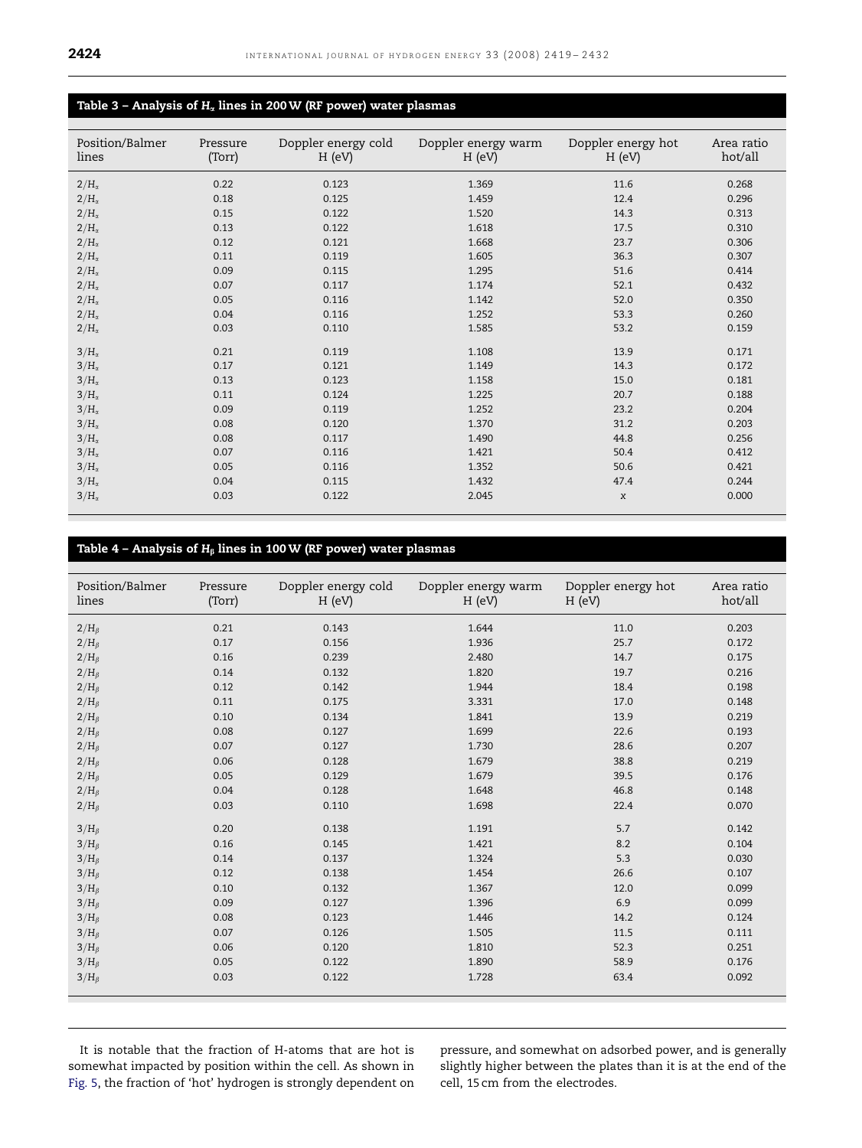# Table 3 – Analysis of  $H_\alpha$  lines in 200 W (RF power) water plasmas

| Position/Balmer<br>lines | Pressure<br>(Torr) | Doppler energy cold<br>H (eV) | Doppler energy warm<br>H (eV) | Doppler energy hot<br>H (eV) | Area ratio<br>hot/all |
|--------------------------|--------------------|-------------------------------|-------------------------------|------------------------------|-----------------------|
| $2/H_{\alpha}$           | 0.22               | 0.123                         | 1.369                         | 11.6                         | 0.268                 |
| $2/H_{\alpha}$           | 0.18               | 0.125                         | 1.459                         | 12.4                         | 0.296                 |
| $2/H_{\alpha}$           | 0.15               | 0.122                         | 1.520                         | 14.3                         | 0.313                 |
| $2/H_{\alpha}$           | 0.13               | 0.122                         | 1.618                         | 17.5                         | 0.310                 |
| $2/H_{\alpha}$           | 0.12               | 0.121                         | 1.668                         | 23.7                         | 0.306                 |
| $2/H_{\alpha}$           | 0.11               | 0.119                         | 1.605                         | 36.3                         | 0.307                 |
| $2/H_{\alpha}$           | 0.09               | 0.115                         | 1.295                         | 51.6                         | 0.414                 |
| $2/H_{\alpha}$           | 0.07               | 0.117                         | 1.174                         | 52.1                         | 0.432                 |
| $2/H_{\alpha}$           | 0.05               | 0.116                         | 1.142                         | 52.0                         | 0.350                 |
| $2/H_{\alpha}$           | 0.04               | 0.116                         | 1.252                         | 53.3                         | 0.260                 |
| $2/H_{\alpha}$           | 0.03               | 0.110                         | 1.585                         | 53.2                         | 0.159                 |
| $3/H_{\alpha}$           | 0.21               | 0.119                         | 1.108                         | 13.9                         | 0.171                 |
| $3/H_{\alpha}$           | 0.17               | 0.121                         | 1.149                         | 14.3                         | 0.172                 |
| $3/H_{\alpha}$           | 0.13               | 0.123                         | 1.158                         | 15.0                         | 0.181                 |
| $3/H_{\alpha}$           | 0.11               | 0.124                         | 1.225                         | 20.7                         | 0.188                 |
| $3/H_{\alpha}$           | 0.09               | 0.119                         | 1.252                         | 23.2                         | 0.204                 |
| $3/H_{\alpha}$           | 0.08               | 0.120                         | 1.370                         | 31.2                         | 0.203                 |
| $3/H_{\alpha}$           | 0.08               | 0.117                         | 1.490                         | 44.8                         | 0.256                 |
| $3/H_{\alpha}$           | 0.07               | 0.116                         | 1.421                         | 50.4                         | 0.412                 |
| $3/H_{\alpha}$           | 0.05               | 0.116                         | 1.352                         | 50.6                         | 0.421                 |
| $3/H_{\alpha}$           | 0.04               | 0.115                         | 1.432                         | 47.4                         | 0.244                 |
| $3/H_{\alpha}$           | 0.03               | 0.122                         | 2.045                         | $\chi$                       | 0.000                 |

# Table 4 – Analysis of  $H_\beta$  lines in 100 W (RF power) water plasmas

| Position/Balmer<br>lines | Pressure<br>(Torr) | Doppler energy cold<br>H (eV) | Doppler energy warm<br>H (eV) | Doppler energy hot<br>H (eV) | Area ratio<br>hot/all |
|--------------------------|--------------------|-------------------------------|-------------------------------|------------------------------|-----------------------|
| $2/H_\beta$              | 0.21               | 0.143                         | 1.644                         | 11.0                         | 0.203                 |
| $2/H_\beta$              | 0.17               | 0.156                         | 1.936                         | 25.7                         | 0.172                 |
| $2/H_\beta$              | 0.16               | 0.239                         | 2.480                         | 14.7                         | 0.175                 |
| $2/H_B$                  | 0.14               | 0.132                         | 1.820                         | 19.7                         | 0.216                 |
| $2/H_\beta$              | 0.12               | 0.142                         | 1.944                         | 18.4                         | 0.198                 |
| $2/H_\beta$              | 0.11               | 0.175                         | 3.331                         | 17.0                         | 0.148                 |
| $2/H_\beta$              | 0.10               | 0.134                         | 1.841                         | 13.9                         | 0.219                 |
| $2/H_\beta$              | 0.08               | 0.127                         | 1.699                         | 22.6                         | 0.193                 |
| $2/H_\beta$              | 0.07               | 0.127                         | 1.730                         | 28.6                         | 0.207                 |
| $2/H_\beta$              | 0.06               | 0.128                         | 1.679                         | 38.8                         | 0.219                 |
| $2/H_B$                  | 0.05               | 0.129                         | 1.679                         | 39.5                         | 0.176                 |
| $2/H_\beta$              | 0.04               | 0.128                         | 1.648                         | 46.8                         | 0.148                 |
| $2/H_\beta$              | 0.03               | 0.110                         | 1.698                         | 22.4                         | 0.070                 |
| $3/H_B$                  | 0.20               | 0.138                         | 1.191                         | 5.7                          | 0.142                 |
| $3/H_\beta$              | 0.16               | 0.145                         | 1.421                         | 8.2                          | 0.104                 |
| $3/H_B$                  | 0.14               | 0.137                         | 1.324                         | 5.3                          | 0.030                 |
| $3/H_\beta$              | 0.12               | 0.138                         | 1.454                         | 26.6                         | 0.107                 |
| $3/H_\beta$              | 0.10               | 0.132                         | 1.367                         | 12.0                         | 0.099                 |
| $3/H_\beta$              | 0.09               | 0.127                         | 1.396                         | 6.9                          | 0.099                 |
| $3/H_\beta$              | 0.08               | 0.123                         | 1.446                         | 14.2                         | 0.124                 |
| $3/H_\beta$              | 0.07               | 0.126                         | 1.505                         | 11.5                         | 0.111                 |
| $3/H_B$                  | 0.06               | 0.120                         | 1.810                         | 52.3                         | 0.251                 |
| $3/H_\beta$              | 0.05               | 0.122                         | 1.890                         | 58.9                         | 0.176                 |
| $3/H_\beta$              | 0.03               | 0.122                         | 1.728                         | 63.4                         | 0.092                 |
|                          |                    |                               |                               |                              |                       |

It is notable that the fraction of H-atoms that are hot is somewhat impacted by position within the cell. As shown in [Fig. 5](#page-10-0), the fraction of 'hot' hydrogen is strongly dependent on pressure, and somewhat on adsorbed power, and is generally slightly higher between the plates than it is at the end of the cell, 15 cm from the electrodes.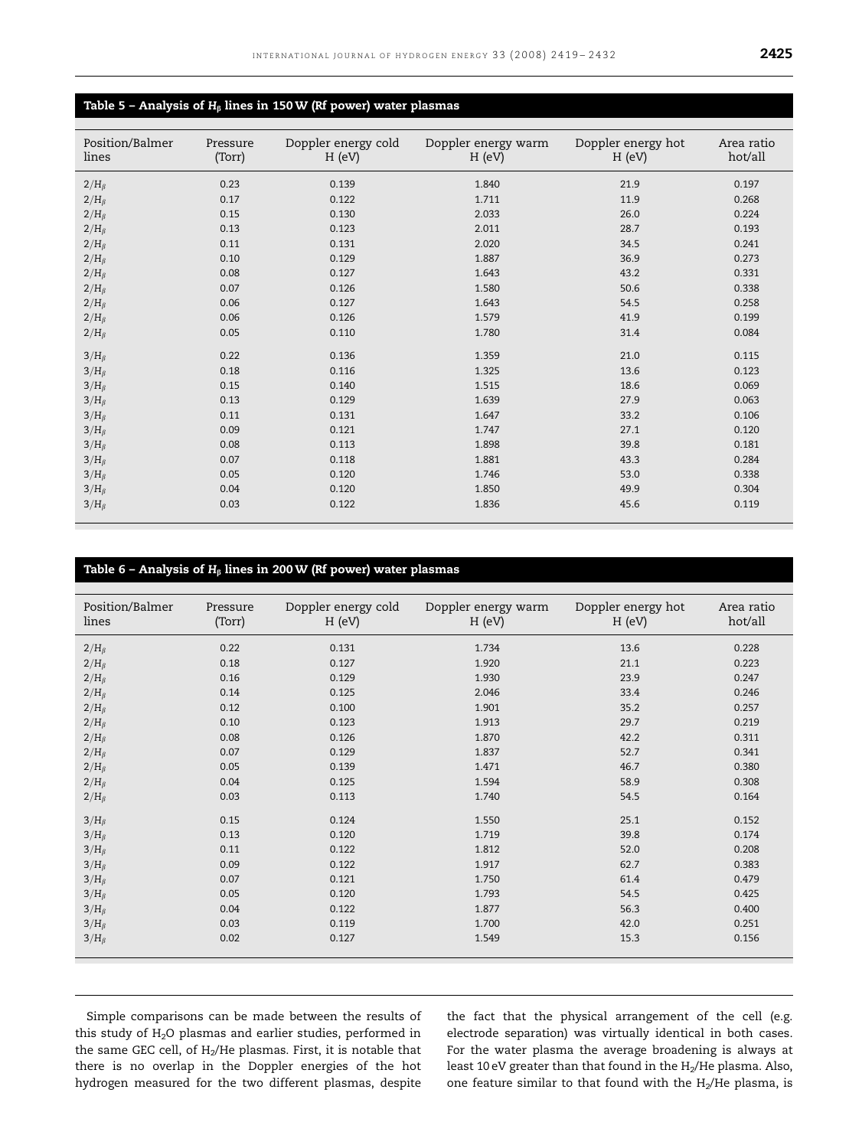# <span id="page-6-0"></span>Table 5 - Analysis of  $H_\beta$  lines in 150 W (Rf power) water plasmas

| Position/Balmer<br>lines | Pressure<br>(Torr) | Doppler energy cold<br>H (eV) | Doppler energy warm<br>H (eV) | Doppler energy hot<br>H (eV) | Area ratio<br>hot/all |
|--------------------------|--------------------|-------------------------------|-------------------------------|------------------------------|-----------------------|
| $2/H_B$                  | 0.23               | 0.139                         | 1.840                         | 21.9                         | 0.197                 |
| $2/H_\beta$              | 0.17               | 0.122                         | 1.711                         | 11.9                         | 0.268                 |
| $2/H_\beta$              | 0.15               | 0.130                         | 2.033                         | 26.0                         | 0.224                 |
| $2/H_B$                  | 0.13               | 0.123                         | 2.011                         | 28.7                         | 0.193                 |
| $2/H_\beta$              | 0.11               | 0.131                         | 2.020                         | 34.5                         | 0.241                 |
| $2/H_\beta$              | 0.10               | 0.129                         | 1.887                         | 36.9                         | 0.273                 |
| $2/H_\beta$              | 0.08               | 0.127                         | 1.643                         | 43.2                         | 0.331                 |
| $2/H_\beta$              | 0.07               | 0.126                         | 1.580                         | 50.6                         | 0.338                 |
| $2/H_\beta$              | 0.06               | 0.127                         | 1.643                         | 54.5                         | 0.258                 |
| $2/H_\beta$              | 0.06               | 0.126                         | 1.579                         | 41.9                         | 0.199                 |
| $2/H_\beta$              | 0.05               | 0.110                         | 1.780                         | 31.4                         | 0.084                 |
| $3/H_B$                  | 0.22               | 0.136                         | 1.359                         | 21.0                         | 0.115                 |
| $3/H_\beta$              | 0.18               | 0.116                         | 1.325                         | 13.6                         | 0.123                 |
| $3/H_\beta$              | 0.15               | 0.140                         | 1.515                         | 18.6                         | 0.069                 |
| $3/H_\beta$              | 0.13               | 0.129                         | 1.639                         | 27.9                         | 0.063                 |
| $3/H_\beta$              | 0.11               | 0.131                         | 1.647                         | 33.2                         | 0.106                 |
| $3/H_B$                  | 0.09               | 0.121                         | 1.747                         | 27.1                         | 0.120                 |
| $3/H_\beta$              | 0.08               | 0.113                         | 1.898                         | 39.8                         | 0.181                 |
| $3/H_\beta$              | 0.07               | 0.118                         | 1.881                         | 43.3                         | 0.284                 |
| $3/H_\beta$              | 0.05               | 0.120                         | 1.746                         | 53.0                         | 0.338                 |
| $3/H_\beta$              | 0.04               | 0.120                         | 1.850                         | 49.9                         | 0.304                 |
| $3/H_B$                  | 0.03               | 0.122                         | 1.836                         | 45.6                         | 0.119                 |

## Table 6 - Analysis of  $H_\beta$  lines in 200 W (Rf power) water plasmas

| Position/Balmer<br>lines | Pressure<br>(Torr) | Doppler energy cold<br>H (eV) | Doppler energy warm<br>H (eV) | Doppler energy hot<br>H (eV) | Area ratio<br>hot/all |
|--------------------------|--------------------|-------------------------------|-------------------------------|------------------------------|-----------------------|
| $2/H_\beta$              | 0.22               | 0.131                         | 1.734                         | 13.6                         | 0.228                 |
| $2/H_\beta$              | 0.18               | 0.127                         | 1.920                         | 21.1                         | 0.223                 |
| $2/H_\beta$              | 0.16               | 0.129                         | 1.930                         | 23.9                         | 0.247                 |
| $2/H_\beta$              | 0.14               | 0.125                         | 2.046                         | 33.4                         | 0.246                 |
| $2/H_\beta$              | 0.12               | 0.100                         | 1.901                         | 35.2                         | 0.257                 |
| $2/H_\beta$              | 0.10               | 0.123                         | 1.913                         | 29.7                         | 0.219                 |
| $2/H_\beta$              | 0.08               | 0.126                         | 1.870                         | 42.2                         | 0.311                 |
| $2/H_\beta$              | 0.07               | 0.129                         | 1.837                         | 52.7                         | 0.341                 |
| $2/H_\beta$              | 0.05               | 0.139                         | 1.471                         | 46.7                         | 0.380                 |
| $2/H_\beta$              | 0.04               | 0.125                         | 1.594                         | 58.9                         | 0.308                 |
| $2/H_\beta$              | 0.03               | 0.113                         | 1.740                         | 54.5                         | 0.164                 |
| $3/H_B$                  | 0.15               | 0.124                         | 1.550                         | 25.1                         | 0.152                 |
| $3/H_B$                  | 0.13               | 0.120                         | 1.719                         | 39.8                         | 0.174                 |
| $3/H_\beta$              | 0.11               | 0.122                         | 1.812                         | 52.0                         | 0.208                 |
| $3/H_\beta$              | 0.09               | 0.122                         | 1.917                         | 62.7                         | 0.383                 |
| $3/H_\beta$              | 0.07               | 0.121                         | 1.750                         | 61.4                         | 0.479                 |
| $3/H_\beta$              | 0.05               | 0.120                         | 1.793                         | 54.5                         | 0.425                 |
| $3/H_\beta$              | 0.04               | 0.122                         | 1.877                         | 56.3                         | 0.400                 |
| $3/H_B$                  | 0.03               | 0.119                         | 1.700                         | 42.0                         | 0.251                 |
| $3/H_B$                  | 0.02               | 0.127                         | 1.549                         | 15.3                         | 0.156                 |

Simple comparisons can be made between the results of this study of H<sub>2</sub>O plasmas and earlier studies, performed in the same GEC cell, of  $H_2/He$  plasmas. First, it is notable that there is no overlap in the Doppler energies of the hot hydrogen measured for the two different plasmas, despite the fact that the physical arrangement of the cell (e.g. electrode separation) was virtually identical in both cases. For the water plasma the average broadening is always at least 10 eV greater than that found in the  $H_2/H$ e plasma. Also, one feature similar to that found with the  $H_2/He$  plasma, is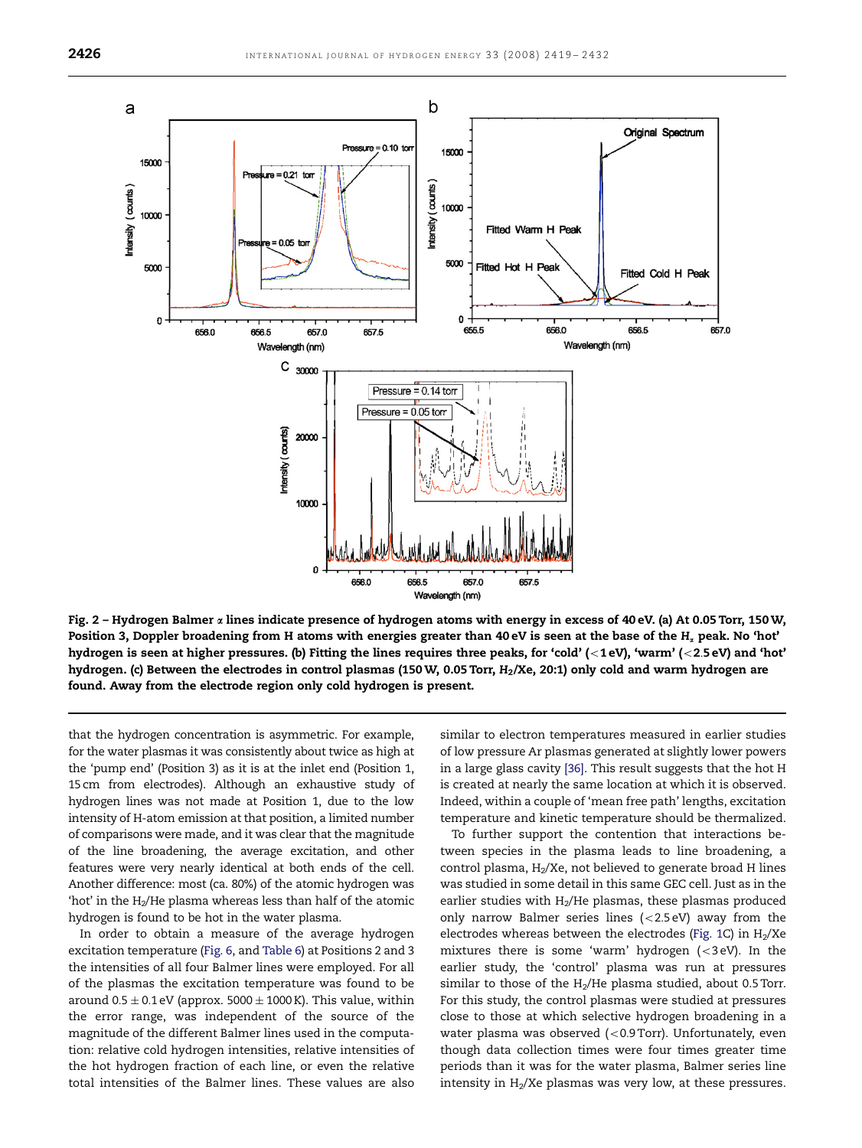<span id="page-7-0"></span>

Fig. 2 - Hydrogen Balmer  $\alpha$  lines indicate presence of hydrogen atoms with energy in excess of 40 eV. (a) At 0.05 Torr, 150 W, Position 3, Doppler broadening from H atoms with energies greater than 40 eV is seen at the base of the  $H_x$  peak. No 'hot' hydrogen is seen at higher pressures. (b) Fitting the lines requires three peaks, for 'cold' (<1 eV), 'warm' (<2.5 eV) and 'hot' hydrogen. (c) Between the electrodes in control plasmas (150 W, 0.05 Torr,  $H_2$ /Xe, 20:1) only cold and warm hydrogen are found. Away from the electrode region only cold hydrogen is present.

that the hydrogen concentration is asymmetric. For example, for the water plasmas it was consistently about twice as high at the 'pump end' (Position 3) as it is at the inlet end (Position 1, 15 cm from electrodes). Although an exhaustive study of hydrogen lines was not made at Position 1, due to the low intensity of H-atom emission at that position, a limited number of comparisons were made, and it was clear that the magnitude of the line broadening, the average excitation, and other features were very nearly identical at both ends of the cell. Another difference: most (ca. 80%) of the atomic hydrogen was 'hot' in the  $H_2/He$  plasma whereas less than half of the atomic hydrogen is found to be hot in the water plasma.

In order to obtain a measure of the average hydrogen excitation temperature ([Fig. 6,](#page-11-0) and [Table 6](#page-6-0)) at Positions 2 and 3 the intensities of all four Balmer lines were employed. For all of the plasmas the excitation temperature was found to be around  $0.5 \pm 0.1$  eV (approx. 5000  $\pm$  1000 K). This value, within the error range, was independent of the source of the magnitude of the different Balmer lines used in the computation: relative cold hydrogen intensities, relative intensities of the hot hydrogen fraction of each line, or even the relative total intensities of the Balmer lines. These values are also

similar to electron temperatures measured in earlier studies of low pressure Ar plasmas generated at slightly lower powers in a large glass cavity [\[36\].](#page-13-0) This result suggests that the hot H is created at nearly the same location at which it is observed. Indeed, within a couple of 'mean free path' lengths, excitation temperature and kinetic temperature should be thermalized.

To further support the contention that interactions between species in the plasma leads to line broadening, a control plasma,  $H<sub>2</sub>/Xe$ , not believed to generate broad H lines was studied in some detail in this same GEC cell. Just as in the earlier studies with  $H_2/He$  plasmas, these plasmas produced only narrow Balmer series lines  $(<2.5 eV)$  away from the electrodes whereas between the electrodes ([Fig. 1C](#page-3-0)) in  $H_2/Xe$ mixtures there is some 'warm' hydrogen  $( $3 \text{ eV}$ ). In the$ earlier study, the 'control' plasma was run at pressures similar to those of the  $H_2/He$  plasma studied, about 0.5 Torr. For this study, the control plasmas were studied at pressures close to those at which selective hydrogen broadening in a water plasma was observed ( $<$  0.9 Torr). Unfortunately, even though data collection times were four times greater time periods than it was for the water plasma, Balmer series line intensity in  $H_2/Xe$  plasmas was very low, at these pressures.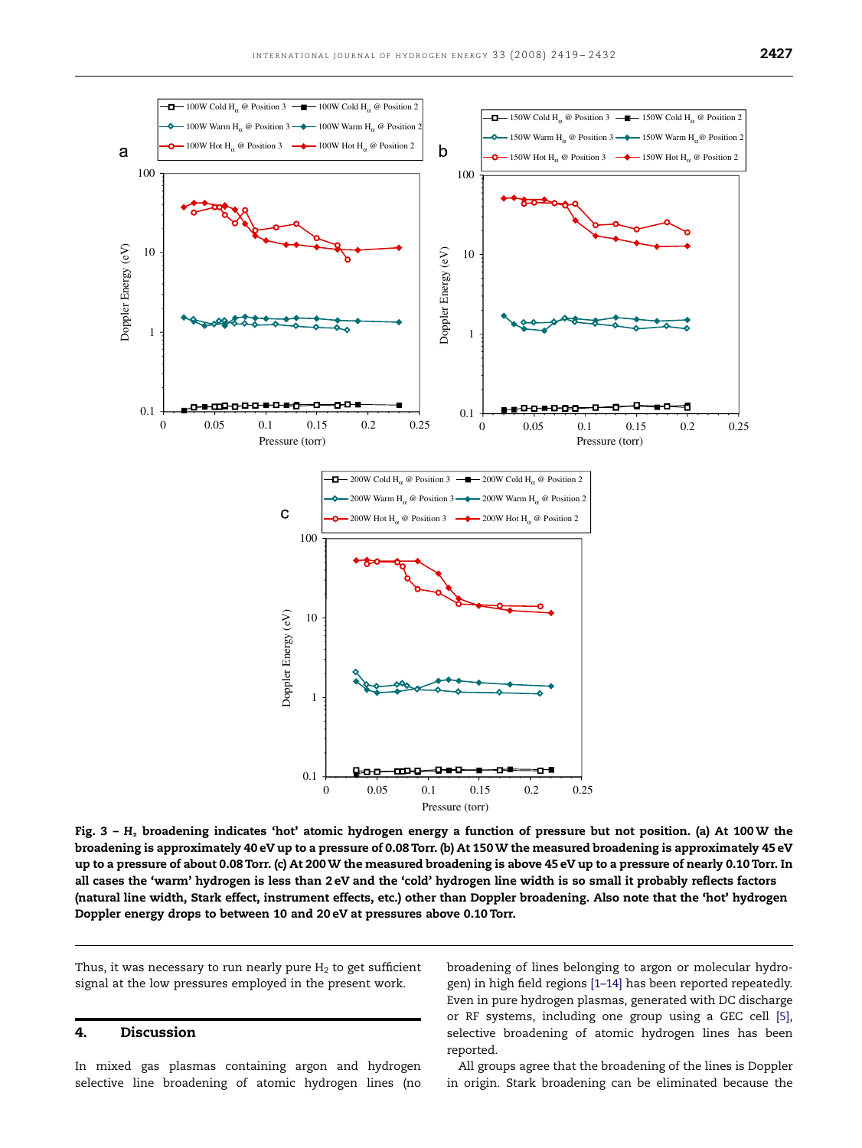<span id="page-8-0"></span>

Fig.  $3 - H<sub>x</sub>$  broadening indicates 'hot' atomic hydrogen energy a function of pressure but not position. (a) At 100 W the broadening is approximately 40 eV up to a pressure of 0.08 Torr. (b) At 150 W the measured broadening is approximately 45 eV up to a pressure of about 0.08 Torr. (c) At 200 W the measured broadening is above 45 eV up to a pressure of nearly 0.10 Torr. In all cases the 'warm' hydrogen is less than 2 eV and the 'cold' hydrogen line width is so small it probably reflects factors (natural line width, Stark effect, instrument effects, etc.) other than Doppler broadening. Also note that the 'hot' hydrogen Doppler energy drops to between 10 and 20 eV at pressures above 0.10 Torr.

Thus, it was necessary to run nearly pure  $H_2$  to get sufficient signal at the low pressures employed in the present work.

## 4. Discussion

In mixed gas plasmas containing argon and hydrogen selective line broadening of atomic hydrogen lines (no broadening of lines belonging to argon or molecular hydrogen) in high field regions [\[1–14\]](#page-13-0) has been reported repeatedly. Even in pure hydrogen plasmas, generated with DC discharge or RF systems, including one group using a GEC cell [\[5\],](#page-13-0) selective broadening of atomic hydrogen lines has been reported.

All groups agree that the broadening of the lines is Doppler in origin. Stark broadening can be eliminated because the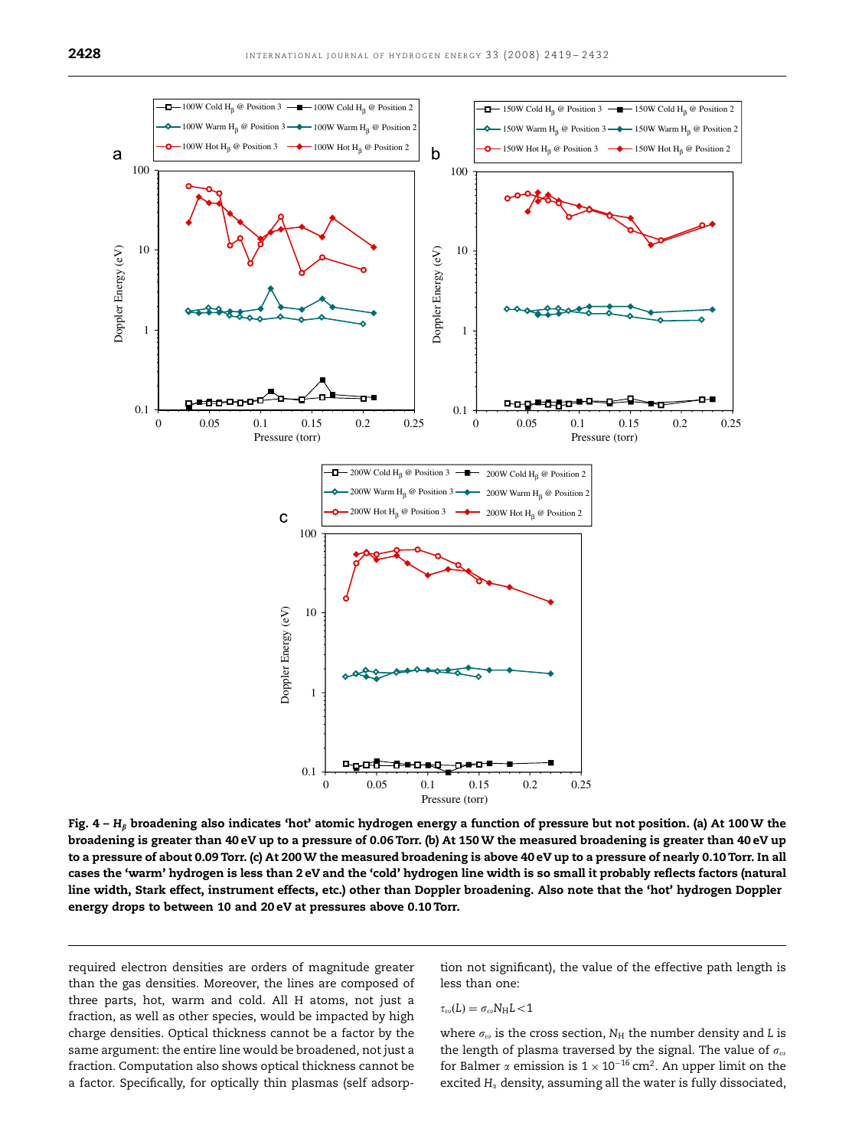

Fig.  $4 - H_\beta$  broadening also indicates 'hot' atomic hydrogen energy a function of pressure but not position. (a) At 100 W the broadening is greater than 40 eV up to a pressure of 0.06 Torr. (b) At 150 W the measured broadening is greater than 40 eV up to a pressure of about 0.09 Torr. (c) At 200 W the measured broadening is above 40 eV up to a pressure of nearly 0.10 Torr. In all cases the 'warm' hydrogen is less than 2 eV and the 'cold' hydrogen line width is so small it probably reflects factors (natural line width, Stark effect, instrument effects, etc.) other than Doppler broadening. Also note that the 'hot' hydrogen Doppler energy drops to between 10 and 20 eV at pressures above 0.10 Torr.

required electron densities are orders of magnitude greater than the gas densities. Moreover, the lines are composed of three parts, hot, warm and cold. All H atoms, not just a fraction, as well as other species, would be impacted by high charge densities. Optical thickness cannot be a factor by the same argument: the entire line would be broadened, not just a fraction. Computation also shows optical thickness cannot be a factor. Specifically, for optically thin plasmas (self adsorption not significant), the value of the effective path length is less than one:

$$
\tau_\omega(L)=\sigma_\omega N_H L\!<\!1
$$

where  $\sigma_{\omega}$  is the cross section,  $N_{\rm H}$  the number density and L is the length of plasma traversed by the signal. The value of  $\sigma_{\omega}$ for Balmer  $\alpha$  emission is  $1 \times 10^{-16}$  cm<sup>2</sup>. An upper limit on the excited  $H_{\alpha}$  density, assuming all the water is fully dissociated,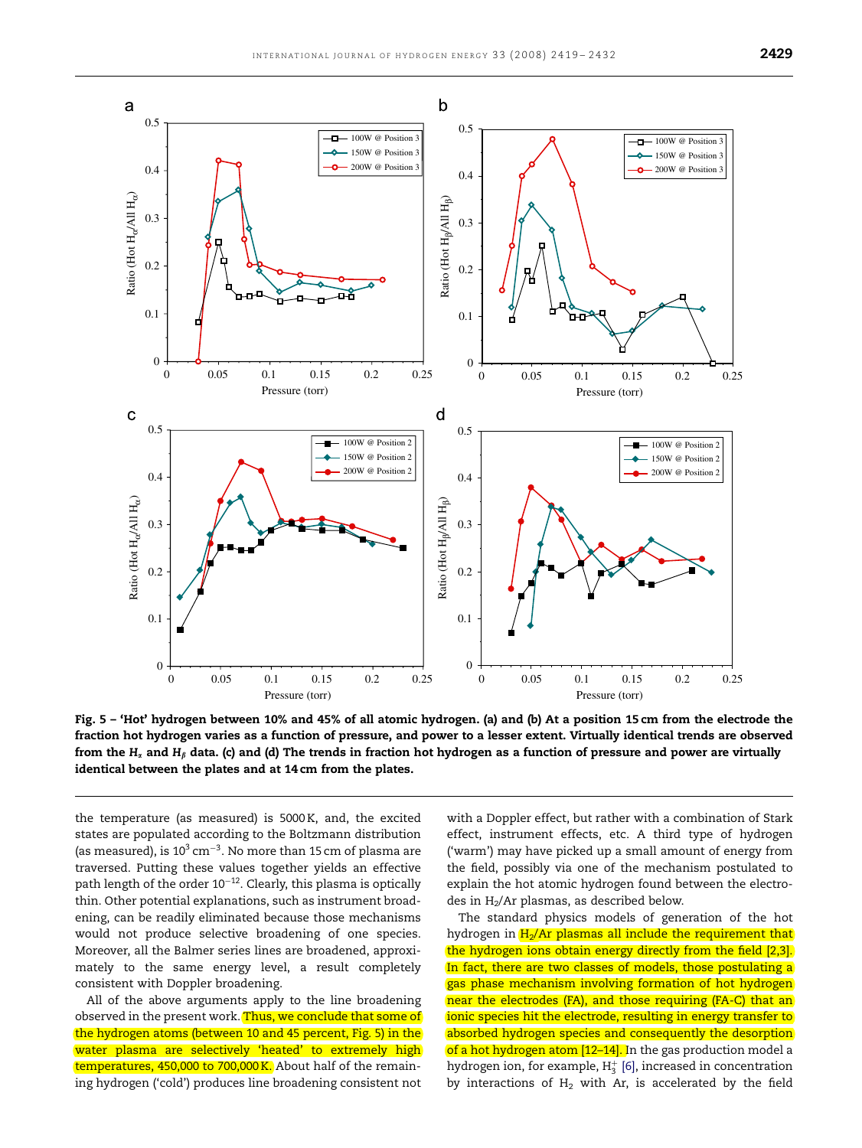<span id="page-10-0"></span>

Fig. 5 – 'Hot' hydrogen between 10% and 45% of all atomic hydrogen. (a) and (b) At a position 15 cm from the electrode the fraction hot hydrogen varies as a function of pressure, and power to a lesser extent. Virtually identical trends are observed from the  $H_x$  and  $H_\beta$  data. (c) and (d) The trends in fraction hot hydrogen as a function of pressure and power are virtually identical between the plates and at 14 cm from the plates.

the temperature (as measured) is 5000 K, and, the excited states are populated according to the Boltzmann distribution (as measured), is  $10^3 \text{ cm}^{-3}$ . No more than 15 cm of plasma are traversed. Putting these values together yields an effective path length of the order  $10^{-12}$ . Clearly, this plasma is optically thin. Other potential explanations, such as instrument broadening, can be readily eliminated because those mechanisms would not produce selective broadening of one species. Moreover, all the Balmer series lines are broadened, approximately to the same energy level, a result completely consistent with Doppler broadening.

All of the above arguments apply to the line broadening observed in the present work. Thus, we conclude that some of the hydrogen atoms (between 10 and 45 percent, Fig. 5) in the water plasma are selectively 'heated' to extremely high temperatures, 450,000 to 700,000 K. About half of the remaining hydrogen ('cold') produces line broadening consistent not

with a Doppler effect, but rather with a combination of Stark effect, instrument effects, etc. A third type of hydrogen ('warm') may have picked up a small amount of energy from the field, possibly via one of the mechanism postulated to explain the hot atomic hydrogen found between the electrodes in H<sub>2</sub>/Ar plasmas, as described below.

The standard physics models of generation of the hot hydrogen in  $H<sub>2</sub>/Ar$  plasmas all include the requirement that the hydrogen ions obtain energy directly from the field [\[2,3\].](#page-13-0) In fact, there are two classes of models, those postulating a gas phase mechanism involving formation of hot hydrogen near the electrodes (FA), and those requiring (FA-C) that an ionic species hit the electrode, resulting in energy transfer to absorbed hydrogen species and consequently the desorption of a hot hydrogen atom [12-14]. In the gas production model a hydrogen ion, for example,  ${\rm H_3^+}$  [\[6\]](#page-13-0), increased in concentration by interactions of  $H_2$  with Ar, is accelerated by the field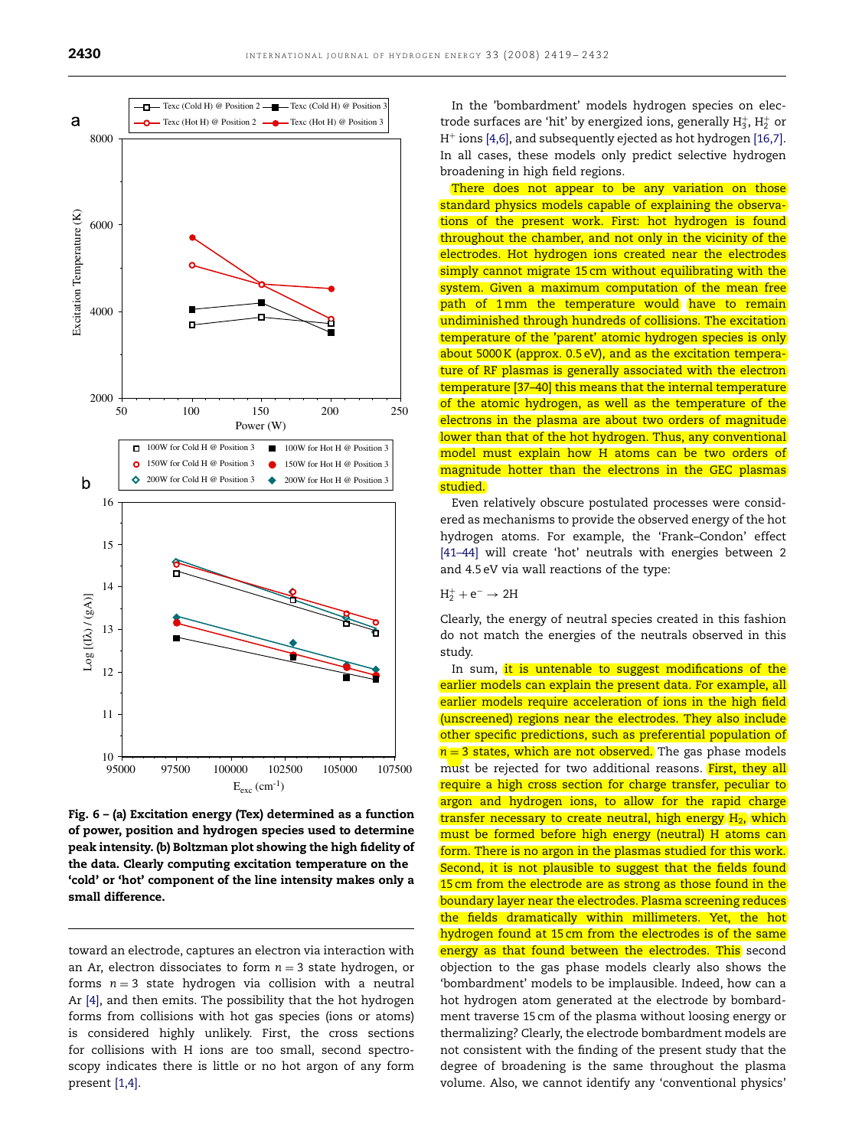<span id="page-11-0"></span>

Fig. 6 – (a) Excitation energy (Tex) determined as a function of power, position and hydrogen species used to determine peak intensity. (b) Boltzman plot showing the high fidelity of the data. Clearly computing excitation temperature on the 'cold' or 'hot' component of the line intensity makes only a small difference.

toward an electrode, captures an electron via interaction with an Ar, electron dissociates to form  $n = 3$  state hydrogen, or forms  $n = 3$  state hydrogen via collision with a neutral Ar [\[4\],](#page-13-0) and then emits. The possibility that the hot hydrogen forms from collisions with hot gas species (ions or atoms) is considered highly unlikely. First, the cross sections for collisions with H ions are too small, second spectroscopy indicates there is little or no hot argon of any form present [\[1,4\]](#page-13-0).

In the 'bombardment' models hydrogen species on electrode surfaces are 'hit' by energized ions, generally  $\rm H_3^+$ ,  $\rm H_2^+$  or  $H^+$  ions [\[4,6\],](#page-13-0) and subsequently ejected as hot hydrogen [\[16,7\]](#page-13-0). In all cases, these models only predict selective hydrogen broadening in high field regions.

There does not appear to be any variation on those standard physics models capable of explaining the observations of the present work. First: hot hydrogen is found throughout the chamber, and not only in the vicinity of the electrodes. Hot hydrogen ions created near the electrodes simply cannot migrate 15 cm without equilibrating with the system. Given a maximum computation of the mean free path of 1 mm the temperature would have to remain undiminished through hundreds of collisions. The excitation temperature of the 'parent' atomic hydrogen species is only about 5000 K (approx. 0.5 eV), and as the excitation temperature of RF plasmas is generally associated with the electron temperature [\[37–40\]](#page-13-0) this means that the internal temperature of the atomic hydrogen, as well as the temperature of the electrons in the plasma are about two orders of magnitude lower than that of the hot hydrogen. Thus, any conventional model must explain how H atoms can be two orders of magnitude hotter than the electrons in the GEC plasmas studied.

Even relatively obscure postulated processes were considered as mechanisms to provide the observed energy of the hot hydrogen atoms. For example, the 'Frank–Condon' effect [\[41–44\]](#page-13-0) will create 'hot' neutrals with energies between 2 and 4.5 eV via wall reactions of the type:

# $H_2^+ + e^- \rightarrow 2H$

Clearly, the energy of neutral species created in this fashion do not match the energies of the neutrals observed in this study.

In sum, it is untenable to suggest modifications of the earlier models can explain the present data. For example, all earlier models require acceleration of ions in the high field (unscreened) regions near the electrodes. They also include other specific predictions, such as preferential population of  $n = 3$  states, which are not observed. The gas phase models must be rejected for two additional reasons. **First, they all** require a high cross section for charge transfer, peculiar to argon and hydrogen ions, to allow for the rapid charge transfer necessary to create neutral, high energy  $H_2$ , which must be formed before high energy (neutral) H atoms can form. There is no argon in the plasmas studied for this work. Second, it is not plausible to suggest that the fields found 15 cm from the electrode are as strong as those found in the boundary layer near the electrodes. Plasma screening reduces the fields dramatically within millimeters. Yet, the hot hydrogen found at 15 cm from the electrodes is of the same energy as that found between the electrodes. This second objection to the gas phase models clearly also shows the 'bombardment' models to be implausible. Indeed, how can a hot hydrogen atom generated at the electrode by bombardment traverse 15 cm of the plasma without loosing energy or thermalizing? Clearly, the electrode bombardment models are not consistent with the finding of the present study that the degree of broadening is the same throughout the plasma volume. Also, we cannot identify any 'conventional physics'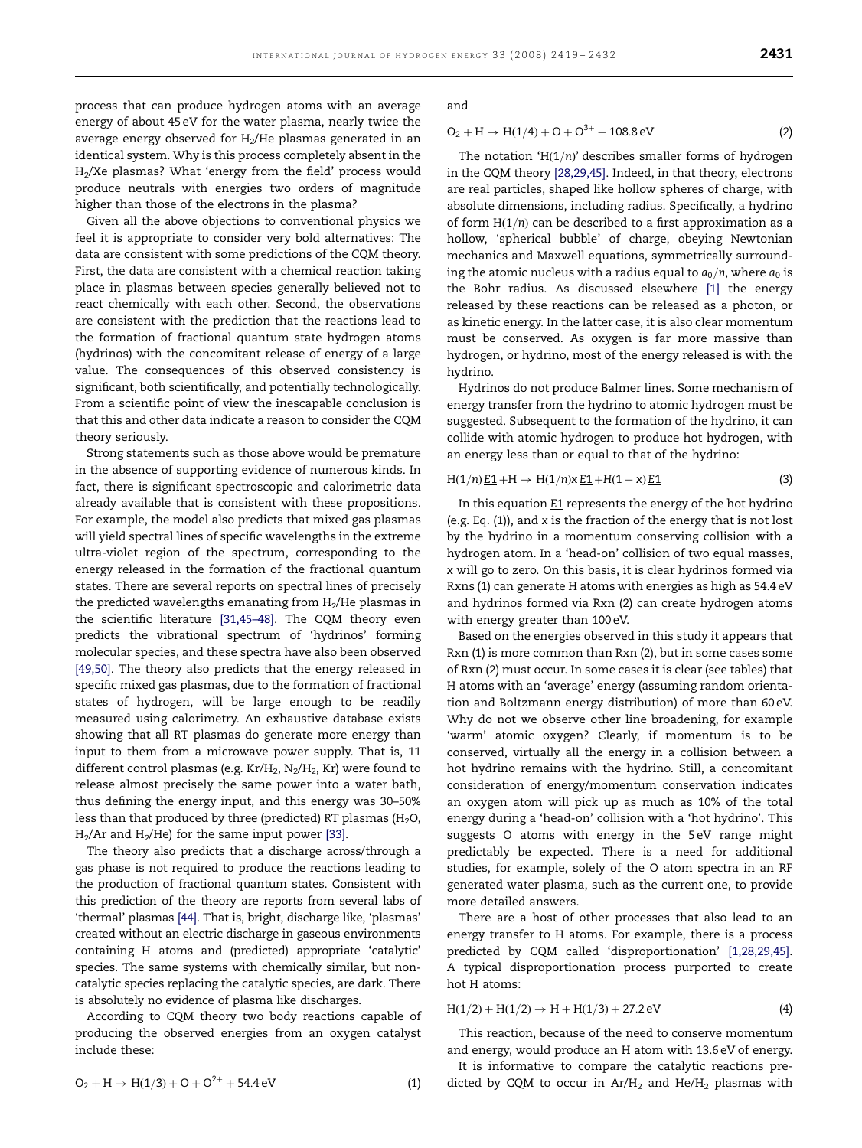process that can produce hydrogen atoms with an average energy of about 45 eV for the water plasma, nearly twice the average energy observed for  $H_2/He$  plasmas generated in an identical system. Why is this process completely absent in the H2/Xe plasmas? What 'energy from the field' process would produce neutrals with energies two orders of magnitude higher than those of the electrons in the plasma?

Given all the above objections to conventional physics we feel it is appropriate to consider very bold alternatives: The data are consistent with some predictions of the CQM theory. First, the data are consistent with a chemical reaction taking place in plasmas between species generally believed not to react chemically with each other. Second, the observations are consistent with the prediction that the reactions lead to the formation of fractional quantum state hydrogen atoms (hydrinos) with the concomitant release of energy of a large value. The consequences of this observed consistency is significant, both scientifically, and potentially technologically. From a scientific point of view the inescapable conclusion is that this and other data indicate a reason to consider the CQM theory seriously.

Strong statements such as those above would be premature in the absence of supporting evidence of numerous kinds. In fact, there is significant spectroscopic and calorimetric data already available that is consistent with these propositions. For example, the model also predicts that mixed gas plasmas will yield spectral lines of specific wavelengths in the extreme ultra-violet region of the spectrum, corresponding to the energy released in the formation of the fractional quantum states. There are several reports on spectral lines of precisely the predicted wavelengths emanating from  $H_2/He$  plasmas in the scientific literature [\[31,45–48\].](#page-13-0) The CQM theory even predicts the vibrational spectrum of 'hydrinos' forming molecular species, and these spectra have also been observed [\[49,50\].](#page-13-0) The theory also predicts that the energy released in specific mixed gas plasmas, due to the formation of fractional states of hydrogen, will be large enough to be readily measured using calorimetry. An exhaustive database exists showing that all RT plasmas do generate more energy than input to them from a microwave power supply. That is, 11 different control plasmas (e.g.  $Kr/H_2$ ,  $N_2/H_2$ , Kr) were found to release almost precisely the same power into a water bath, thus defining the energy input, and this energy was 30–50% less than that produced by three (predicted) RT plasmas ( $H_2O$ ,  $H<sub>2</sub>/Ar$  and  $H<sub>2</sub>/He$ ) for the same input power [\[33\].](#page-13-0)

The theory also predicts that a discharge across/through a gas phase is not required to produce the reactions leading to the production of fractional quantum states. Consistent with this prediction of the theory are reports from several labs of 'thermal' plasmas [\[44\]](#page-13-0). That is, bright, discharge like, 'plasmas' created without an electric discharge in gaseous environments containing H atoms and (predicted) appropriate 'catalytic' species. The same systems with chemically similar, but noncatalytic species replacing the catalytic species, are dark. There is absolutely no evidence of plasma like discharges.

According to CQM theory two body reactions capable of producing the observed energies from an oxygen catalyst include these:

$$
O_2 + H \rightarrow H(1/3) + O + O^{2+} + 54.4 \text{ eV}
$$
 (1)

and

$$
O_2 + H \to H(1/4) + O + O^{3+} + 108.8 \,\text{eV}
$$
 (2)

The notation 'H $(1/n)$ ' describes smaller forms of hydrogen in the CQM theory [\[28,29,45\].](#page-13-0) Indeed, in that theory, electrons are real particles, shaped like hollow spheres of charge, with absolute dimensions, including radius. Specifically, a hydrino of form  $H(1/n)$  can be described to a first approximation as a hollow, 'spherical bubble' of charge, obeying Newtonian mechanics and Maxwell equations, symmetrically surrounding the atomic nucleus with a radius equal to  $a_0/n$ , where  $a_0$  is the Bohr radius. As discussed elsewhere [\[1\]](#page-13-0) the energy released by these reactions can be released as a photon, or as kinetic energy. In the latter case, it is also clear momentum must be conserved. As oxygen is far more massive than hydrogen, or hydrino, most of the energy released is with the hydrino.

Hydrinos do not produce Balmer lines. Some mechanism of energy transfer from the hydrino to atomic hydrogen must be suggested. Subsequent to the formation of the hydrino, it can collide with atomic hydrogen to produce hot hydrogen, with an energy less than or equal to that of the hydrino:

$$
H(1/n) \underline{E1} + H \to H(1/n)x \underline{E1} + H(1-x) \underline{E1}
$$
 (3)

In this equation E1 represents the energy of the hot hydrino (e.g. Eq. (1)), and x is the fraction of the energy that is not lost by the hydrino in a momentum conserving collision with a hydrogen atom. In a 'head-on' collision of two equal masses, x will go to zero. On this basis, it is clear hydrinos formed via Rxns (1) can generate H atoms with energies as high as 54.4 eV and hydrinos formed via Rxn (2) can create hydrogen atoms with energy greater than 100 eV.

Based on the energies observed in this study it appears that Rxn (1) is more common than Rxn (2), but in some cases some of Rxn (2) must occur. In some cases it is clear (see tables) that H atoms with an 'average' energy (assuming random orientation and Boltzmann energy distribution) of more than 60 eV. Why do not we observe other line broadening, for example 'warm' atomic oxygen? Clearly, if momentum is to be conserved, virtually all the energy in a collision between a hot hydrino remains with the hydrino. Still, a concomitant consideration of energy/momentum conservation indicates an oxygen atom will pick up as much as 10% of the total energy during a 'head-on' collision with a 'hot hydrino'. This suggests O atoms with energy in the 5 eV range might predictably be expected. There is a need for additional studies, for example, solely of the O atom spectra in an RF generated water plasma, such as the current one, to provide more detailed answers.

There are a host of other processes that also lead to an energy transfer to H atoms. For example, there is a process predicted by CQM called 'disproportionation' [\[1,28,29,45\].](#page-13-0) A typical disproportionation process purported to create hot H atoms:

$$
H(1/2) + H(1/2) \rightarrow H + H(1/3) + 27.2 \,\text{eV} \tag{4}
$$

This reaction, because of the need to conserve momentum and energy, would produce an H atom with 13.6 eV of energy.

It is informative to compare the catalytic reactions predicted by CQM to occur in  $Ar/H_2$  and  $He/H_2$  plasmas with